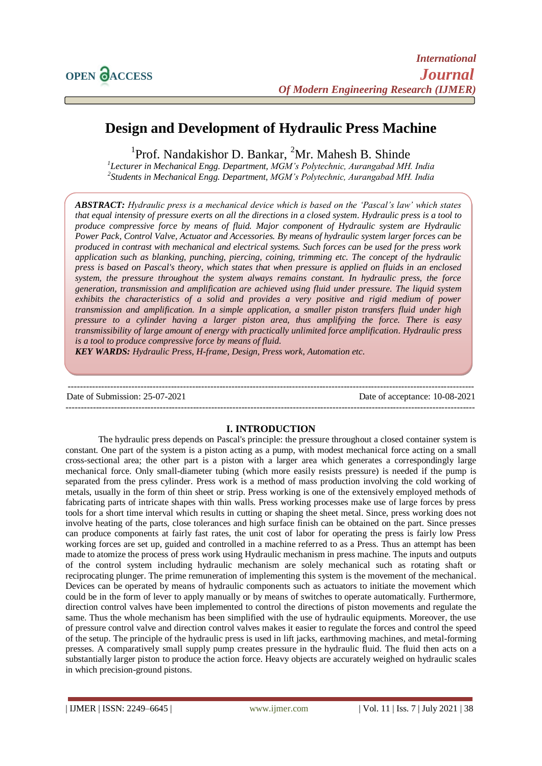# **Design and Development of Hydraulic Press Machine**

<sup>1</sup>Prof. Nandakishor D. Bankar, <sup>2</sup>Mr. Mahesh B. Shinde

*1 Lecturer in Mechanical Engg. Department, MGM's Polytechnic, Aurangabad MH. India 2 Students in Mechanical Engg. Department, MGM's Polytechnic, Aurangabad MH. India*

*ABSTRACT: Hydraulic press is a mechanical device which is based on the 'Pascal's law' which states that equal intensity of pressure exerts on all the directions in a closed system. Hydraulic press is a tool to produce compressive force by means of fluid. Major component of Hydraulic system are Hydraulic Power Pack, Control Valve, Actuator and Accessories. By means of hydraulic system larger forces can be produced in contrast with mechanical and electrical systems. Such forces can be used for the press work application such as blanking, punching, piercing, coining, trimming etc. The concept of the hydraulic press is based on Pascal's theory, which states that when pressure is applied on fluids in an enclosed system, the pressure throughout the system always remains constant. In hydraulic press, the force generation, transmission and amplification are achieved using fluid under pressure. The liquid system exhibits the characteristics of a solid and provides a very positive and rigid medium of power transmission and amplification. In a simple application, a smaller piston transfers fluid under high pressure to a cylinder having a larger piston area, thus amplifying the force. There is easy transmissibility of large amount of energy with practically unlimited force amplification. Hydraulic press is a tool to produce compressive force by means of fluid.*

*KEY WARDS: Hydraulic Press, H-frame, Design, Press work, Automation etc.*

-------------------------------------------------------------------------------------------------------------------------------------- Date of Submission: 25-07-2021 Date of acceptance: 10-08-2021 ---------------------------------------------------------------------------------------------------------------------------------------

#### **I. INTRODUCTION**

The hydraulic press depends on Pascal's principle: the pressure throughout a closed container system is constant. One part of the system is a piston acting as a pump, with modest mechanical force acting on a small cross-sectional area; the other part is a piston with a larger area which generates a correspondingly large mechanical force. Only small-diameter tubing (which more easily resists pressure) is needed if the pump is separated from the press cylinder. Press work is a method of mass production involving the cold working of metals, usually in the form of thin sheet or strip. Press working is one of the extensively employed methods of fabricating parts of intricate shapes with thin walls. Press working processes make use of large forces by press tools for a short time interval which results in cutting or shaping the sheet metal. Since, press working does not involve heating of the parts, close tolerances and high surface finish can be obtained on the part. Since presses can produce components at fairly fast rates, the unit cost of labor for operating the press is fairly low Press working forces are set up, guided and controlled in a machine referred to as a Press. Thus an attempt has been made to atomize the process of press work using Hydraulic mechanism in press machine. The inputs and outputs of the control system including hydraulic mechanism are solely mechanical such as rotating shaft or reciprocating plunger. The prime remuneration of implementing this system is the movement of the mechanical. Devices can be operated by means of hydraulic components such as actuators to initiate the movement which could be in the form of lever to apply manually or by means of switches to operate automatically. Furthermore, direction control valves have been implemented to control the directions of piston movements and regulate the same. Thus the whole mechanism has been simplified with the use of hydraulic equipments. Moreover, the use of pressure control valve and direction control valves makes it easier to regulate the forces and control the speed of the setup. The principle of the hydraulic press is used in lift jacks, earthmoving machines, and metal-forming presses. A comparatively small supply pump creates pressure in the hydraulic fluid. The fluid then acts on a substantially larger piston to produce the action force. Heavy objects are accurately weighed on hydraulic scales in which precision-ground pistons.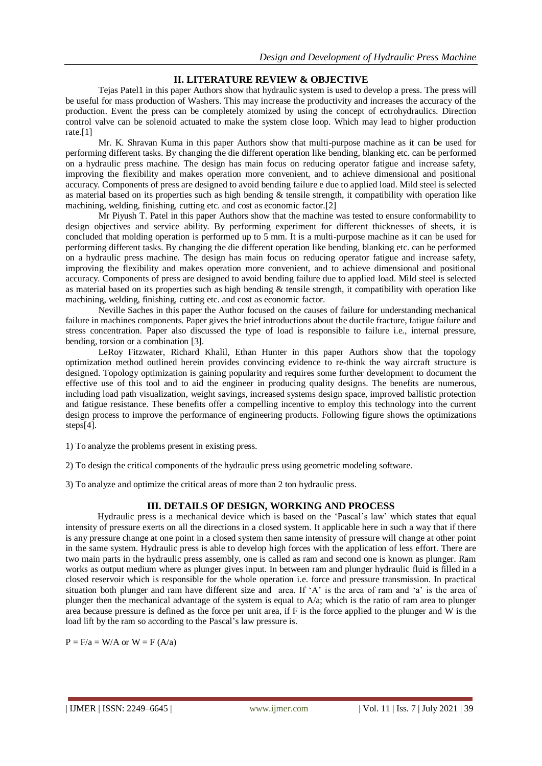## **II. LITERATURE REVIEW & OBJECTIVE**

Tejas Patel1 in this paper Authors show that hydraulic system is used to develop a press. The press will be useful for mass production of Washers. This may increase the productivity and increases the accuracy of the production. Event the press can be completely atomized by using the concept of ectrohydraulics. Direction control valve can be solenoid actuated to make the system close loop. Which may lead to higher production rate.[1]

Mr. K. Shravan Kuma in this paper Authors show that multi-purpose machine as it can be used for performing different tasks. By changing the die different operation like bending, blanking etc. can be performed on a hydraulic press machine. The design has main focus on reducing operator fatigue and increase safety, improving the flexibility and makes operation more convenient, and to achieve dimensional and positional accuracy. Components of press are designed to avoid bending failure e due to applied load. Mild steel is selected as material based on its properties such as high bending & tensile strength, it compatibility with operation like machining, welding, finishing, cutting etc. and cost as economic factor.<sup>[2]</sup>

Mr Piyush T. Patel in this paper Authors show that the machine was tested to ensure conformability to design objectives and service ability. By performing experiment for different thicknesses of sheets, it is concluded that molding operation is performed up to 5 mm. It is a multi-purpose machine as it can be used for performing different tasks. By changing the die different operation like bending, blanking etc. can be performed on a hydraulic press machine. The design has main focus on reducing operator fatigue and increase safety, improving the flexibility and makes operation more convenient, and to achieve dimensional and positional accuracy. Components of press are designed to avoid bending failure due to applied load. Mild steel is selected as material based on its properties such as high bending & tensile strength, it compatibility with operation like machining, welding, finishing, cutting etc. and cost as economic factor.

Neville Saches in this paper the Author focused on the causes of failure for understanding mechanical failure in machines components. Paper gives the brief introductions about the ductile fracture, fatigue failure and stress concentration. Paper also discussed the type of load is responsible to failure i.e., internal pressure, bending, torsion or a combination [3].

LeRoy Fitzwater, Richard Khalil, Ethan Hunter in this paper Authors show that the topology optimization method outlined herein provides convincing evidence to re-think the way aircraft structure is designed. Topology optimization is gaining popularity and requires some further development to document the effective use of this tool and to aid the engineer in producing quality designs. The benefits are numerous, including load path visualization, weight savings, increased systems design space, improved ballistic protection and fatigue resistance. These benefits offer a compelling incentive to employ this technology into the current design process to improve the performance of engineering products. Following figure shows the optimizations steps[4].

1) To analyze the problems present in existing press.

2) To design the critical components of the hydraulic press using geometric modeling software.

3) To analyze and optimize the critical areas of more than 2 ton hydraulic press.

## **III. DETAILS OF DESIGN, WORKING AND PROCESS**

Hydraulic press is a mechanical device which is based on the 'Pascal's law' which states that equal intensity of pressure exerts on all the directions in a closed system. It applicable here in such a way that if there is any pressure change at one point in a closed system then same intensity of pressure will change at other point in the same system. Hydraulic press is able to develop high forces with the application of less effort. There are two main parts in the hydraulic press assembly, one is called as ram and second one is known as plunger. Ram works as output medium where as plunger gives input. In between ram and plunger hydraulic fluid is filled in a closed reservoir which is responsible for the whole operation i.e. force and pressure transmission. In practical situation both plunger and ram have different size and area. If 'A' is the area of ram and 'a' is the area of plunger then the mechanical advantage of the system is equal to  $A/a$ ; which is the ratio of ram area to plunger area because pressure is defined as the force per unit area, if F is the force applied to the plunger and W is the load lift by the ram so according to the Pascal's law pressure is.

 $P = F/a = W/A$  or  $W = F (A/a)$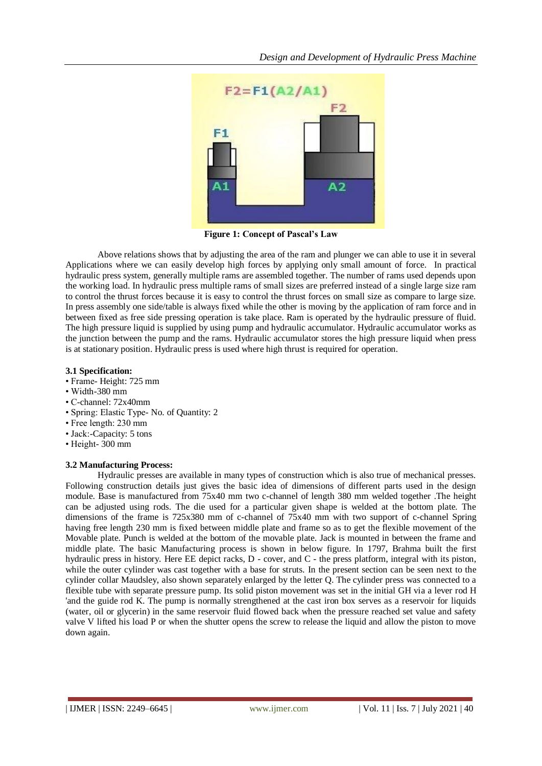

**Figure 1: Concept of Pascal's Law**

Above relations shows that by adjusting the area of the ram and plunger we can able to use it in several Applications where we can easily develop high forces by applying only small amount of force. In practical hydraulic press system, generally multiple rams are assembled together. The number of rams used depends upon the working load. In hydraulic press multiple rams of small sizes are preferred instead of a single large size ram to control the thrust forces because it is easy to control the thrust forces on small size as compare to large size. In press assembly one side/table is always fixed while the other is moving by the application of ram force and in between fixed as free side pressing operation is take place. Ram is operated by the hydraulic pressure of fluid. The high pressure liquid is supplied by using pump and hydraulic accumulator. Hydraulic accumulator works as the junction between the pump and the rams. Hydraulic accumulator stores the high pressure liquid when press is at stationary position. Hydraulic press is used where high thrust is required for operation.

### **3.1 Specification:**

- Frame- Height: 725 mm
- Width-380 mm
- C-channel: 72x40mm
- Spring: Elastic Type- No. of Quantity: 2
- Free length: 230 mm
- Jack:-Capacity: 5 tons
- Height- 300 mm

## **3.2 Manufacturing Process:**

Hydraulic presses are available in many types of construction which is also true of mechanical presses. Following construction details just gives the basic idea of dimensions of different parts used in the design module. Base is manufactured from 75x40 mm two c-channel of length 380 mm welded together .The height can be adjusted using rods. The die used for a particular given shape is welded at the bottom plate. The dimensions of the frame is 725x380 mm of c-channel of 75x40 mm with two support of c-channel Spring having free length 230 mm is fixed between middle plate and frame so as to get the flexible movement of the Movable plate. Punch is welded at the bottom of the movable plate. Jack is mounted in between the frame and middle plate. The basic Manufacturing process is shown in below figure. In 1797, Brahma built the first hydraulic press in history. Here EE depict racks, D - cover, and C - the press platform, integral with its piston, while the outer cylinder was cast together with a base for struts. In the present section can be seen next to the cylinder collar Maudsley, also shown separately enlarged by the letter Q. The cylinder press was connected to a flexible tube with separate pressure pump. Its solid piston movement was set in the initial GH via a lever rod H 'and the guide rod K. The pump is normally strengthened at the cast iron box serves as a reservoir for liquids (water, oil or glycerin) in the same reservoir fluid flowed back when the pressure reached set value and safety valve V lifted his load P or when the shutter opens the screw to release the liquid and allow the piston to move down again.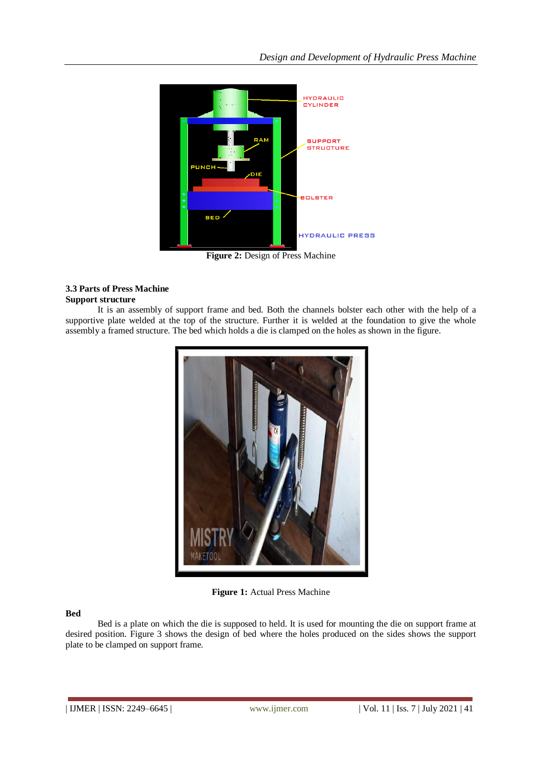

**Figure 2: Design of Press Machine** 

## **3.3 Parts of Press Machine Support structure**

It is an assembly of support frame and bed. Both the channels bolster each other with the help of a supportive plate welded at the top of the structure. Further it is welded at the foundation to give the whole assembly a framed structure. The bed which holds a die is clamped on the holes as shown in the figure.



**Figure 1:** Actual Press Machine

## **Bed**

Bed is a plate on which the die is supposed to held. It is used for mounting the die on support frame at desired position. Figure 3 shows the design of bed where the holes produced on the sides shows the support plate to be clamped on support frame.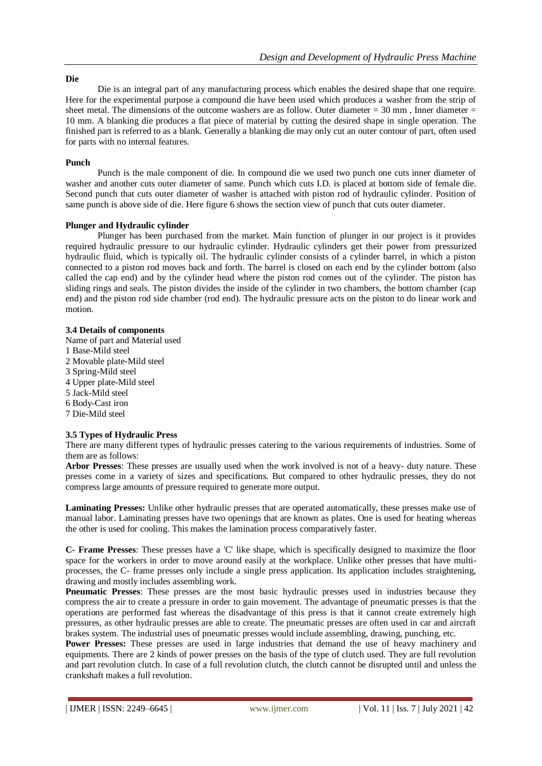#### **Die**

Die is an integral part of any manufacturing process which enables the desired shape that one require. Here for the experimental purpose a compound die have been used which produces a washer from the strip of sheet metal. The dimensions of the outcome washers are as follow. Outer diameter  $= 30$  mm, Inner diameter  $=$ 10 mm. A blanking die produces a flat piece of material by cutting the desired shape in single operation. The finished part is referred to as a blank. Generally a blanking die may only cut an outer contour of part, often used for parts with no internal features.

#### **Punch**

Punch is the male component of die. In compound die we used two punch one cuts inner diameter of washer and another cuts outer diameter of same. Punch which cuts I.D. is placed at bottom side of female die. Second punch that cuts outer diameter of washer is attached with piston rod of hydraulic cylinder. Position of same punch is above side of die. Here figure 6 shows the section view of punch that cuts outer diameter.

#### **Plunger and Hydraulic cylinder**

Plunger has been purchased from the market. Main function of plunger in our project is it provides required hydraulic pressure to our hydraulic cylinder. Hydraulic cylinders get their power from pressurized hydraulic fluid, which is typically oil. The hydraulic cylinder consists of a cylinder barrel, in which a piston connected to a piston rod moves back and forth. The barrel is closed on each end by the cylinder bottom (also called the cap end) and by the cylinder head where the piston rod comes out of the cylinder. The piston has sliding rings and seals. The piston divides the inside of the cylinder in two chambers, the bottom chamber (cap end) and the piston rod side chamber (rod end). The hydraulic pressure acts on the piston to do linear work and motion.

## **3.4 Details of components**

Name of part and Material used 1 Base-Mild steel 2 Movable plate-Mild steel 3 Spring-Mild steel 4 Upper plate-Mild steel 5 Jack-Mild steel 6 Body-Cast iron 7 Die-Mild steel

#### **3.5 Types of Hydraulic Press**

There are many different types of hydraulic presses catering to the various requirements of industries. Some of them are as follows:

**Arbor Presses**: These presses are usually used when the work involved is not of a heavy- duty nature. These presses come in a variety of sizes and specifications. But compared to other hydraulic presses, they do not compress large amounts of pressure required to generate more output.

**Laminating Presses:** Unlike other hydraulic presses that are operated automatically, these presses make use of manual labor. Laminating presses have two openings that are known as plates. One is used for heating whereas the other is used for cooling. This makes the lamination process comparatively faster.

**C- Frame Presses**: These presses have a 'C' like shape, which is specifically designed to maximize the floor space for the workers in order to move around easily at the workplace. Unlike other presses that have multiprocesses, the C- frame presses only include a single press application. Its application includes straightening, drawing and mostly includes assembling work.

**Pneumatic Presses**: These presses are the most basic hydraulic presses used in industries because they compress the air to create a pressure in order to gain movement. The advantage of pneumatic presses is that the operations are performed fast whereas the disadvantage of this press is that it cannot create extremely high pressures, as other hydraulic presses are able to create. The pneumatic presses are often used in car and aircraft brakes system. The industrial uses of pneumatic presses would include assembling, drawing, punching, etc.

**Power Presses:** These presses are used in large industries that demand the use of heavy machinery and equipments. There are 2 kinds of power presses on the basis of the type of clutch used. They are full revolution and part revolution clutch. In case of a full revolution clutch, the clutch cannot be disrupted until and unless the crankshaft makes a full revolution.